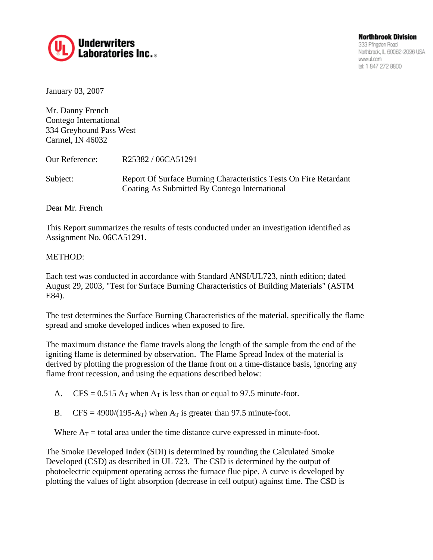

January 03, 2007

Mr. Danny French Contego International 334 Greyhound Pass West Carmel, IN 46032

Our Reference: R25382 / 06CA51291

Subject: Report Of Surface Burning Characteristics Tests On Fire Retardant Coating As Submitted By Contego International

Dear Mr. French

This Report summarizes the results of tests conducted under an investigation identified as Assignment No. 06CA51291.

#### METHOD:

Each test was conducted in accordance with Standard ANSI/UL723, ninth edition; dated August 29, 2003, "Test for Surface Burning Characteristics of Building Materials" (ASTM E84).

The test determines the Surface Burning Characteristics of the material, specifically the flame spread and smoke developed indices when exposed to fire.

The maximum distance the flame travels along the length of the sample from the end of the igniting flame is determined by observation. The Flame Spread Index of the material is derived by plotting the progression of the flame front on a time-distance basis, ignoring any flame front recession, and using the equations described below:

- A. CFS =  $0.515$  A<sub>T</sub> when A<sub>T</sub> is less than or equal to 97.5 minute-foot.
- B. CFS = 4900/(195-A<sub>T</sub>) when A<sub>T</sub> is greater than 97.5 minute-foot.

Where  $A_T$  = total area under the time distance curve expressed in minute-foot.

The Smoke Developed Index (SDI) is determined by rounding the Calculated Smoke Developed (CSD) as described in UL 723. The CSD is determined by the output of photoelectric equipment operating across the furnace flue pipe. A curve is developed by plotting the values of light absorption (decrease in cell output) against time. The CSD is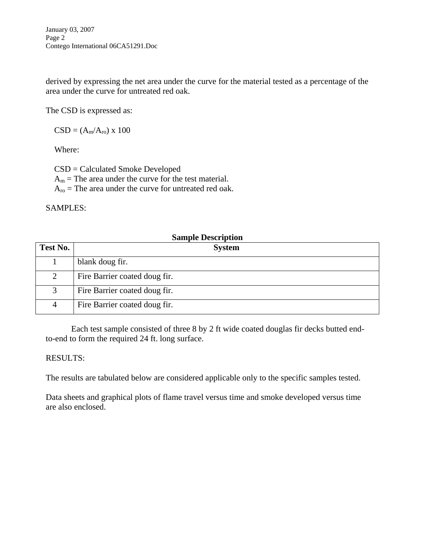January 03, 2007 Page 2 Contego International 06CA51291.Doc

derived by expressing the net area under the curve for the material tested as a percentage of the area under the curve for untreated red oak.

The CSD is expressed as:

 $CSD = (A_m/A_{ro}) \times 100$ 

Where:

CSD = Calculated Smoke Developed

 $A_m$  = The area under the curve for the test material.

 $A_{\text{ro}}$  = The area under the curve for untreated red oak.

SAMPLES:

|                | <b>Sample Description</b>     |  |  |  |  |
|----------------|-------------------------------|--|--|--|--|
| Test No.       | <b>System</b>                 |  |  |  |  |
|                | blank doug fir.               |  |  |  |  |
| $\overline{2}$ | Fire Barrier coated doug fir. |  |  |  |  |
| 3              | Fire Barrier coated doug fir. |  |  |  |  |
| 4              | Fire Barrier coated doug fir. |  |  |  |  |

 Each test sample consisted of three 8 by 2 ft wide coated douglas fir decks butted endto-end to form the required 24 ft. long surface.

### RESULTS:

The results are tabulated below are considered applicable only to the specific samples tested.

Data sheets and graphical plots of flame travel versus time and smoke developed versus time are also enclosed.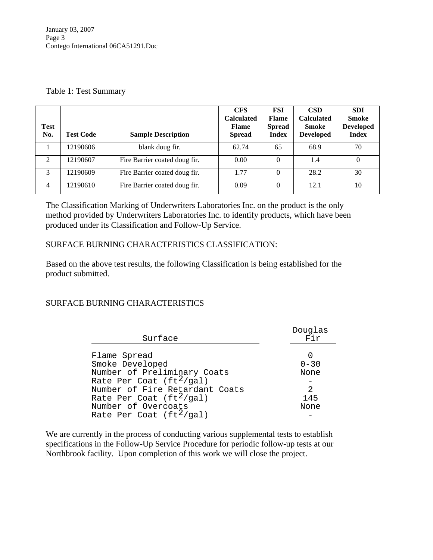#### Table 1: Test Summary

| <b>Test</b><br>No. | <b>Test Code</b> | <b>Sample Description</b>     | <b>CFS</b><br><b>Calculated</b><br><b>Flame</b><br><b>Spread</b> | FSI<br><b>Flame</b><br><b>Spread</b><br><b>Index</b> | <b>CSD</b><br><b>Calculated</b><br><b>Smoke</b><br><b>Developed</b> | <b>SDI</b><br><b>Smoke</b><br><b>Developed</b><br><b>Index</b> |
|--------------------|------------------|-------------------------------|------------------------------------------------------------------|------------------------------------------------------|---------------------------------------------------------------------|----------------------------------------------------------------|
|                    | 12190606         | blank doug fir.               | 62.74                                                            | 65                                                   | 68.9                                                                | 70                                                             |
| $\mathfrak{D}$     | 12190607         | Fire Barrier coated doug fir. | 0.00                                                             | $\theta$                                             | 1.4                                                                 | 0                                                              |
| 3                  | 12190609         | Fire Barrier coated doug fir. | 1.77                                                             | $\Omega$                                             | 28.2                                                                | 30                                                             |
| 4                  | 12190610         | Fire Barrier coated doug fir. | 0.09                                                             | $\theta$                                             | 12.1                                                                | 10                                                             |

The Classification Marking of Underwriters Laboratories Inc. on the product is the only method provided by Underwriters Laboratories Inc. to identify products, which have been produced under its Classification and Follow-Up Service.

### SURFACE BURNING CHARACTERISTICS CLASSIFICATION:

Based on the above test results, the following Classification is being established for the product submitted.

### SURFACE BURNING CHARACTERISTICS

| Surface                        | Douglas<br>Fir |
|--------------------------------|----------------|
|                                |                |
| Flame Spread                   |                |
| Smoke Developed                | $0 - 30$       |
| Number of Preliminary Coats    | None           |
| Rate Per Coat $(ft^2/ga)$      |                |
| Number of Fire Retardant Coats | 2              |
| Rate Per Coat $(ft^2/ga1)$     | 145            |
| Number of Overcoats            | None           |
| Rate Per Coat $(ft^2/ga1)$     |                |

We are currently in the process of conducting various supplemental tests to establish specifications in the Follow-Up Service Procedure for periodic follow-up tests at our Northbrook facility. Upon completion of this work we will close the project.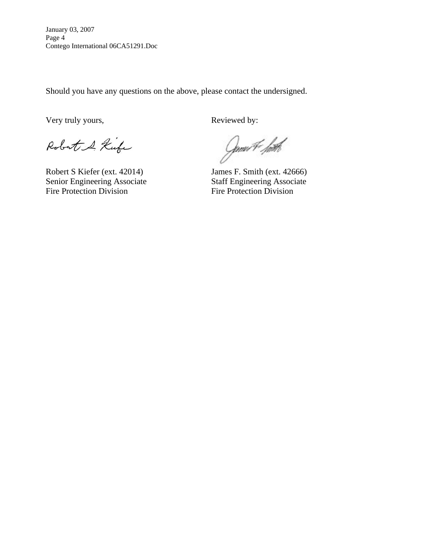January 03, 2007 Page 4 Contego International 06CA51291.Doc

Should you have any questions on the above, please contact the undersigned.

Very truly yours, Reviewed by:

Robert & Kufe

Robert S Kiefer (ext. 42014) James F. Smith (ext. 42666)<br>Senior Engineering Associate Staff Engineering Associate Senior Engineering Associate Fire Protection Division<br>
Fire Protection Division

Gmu#*. hith*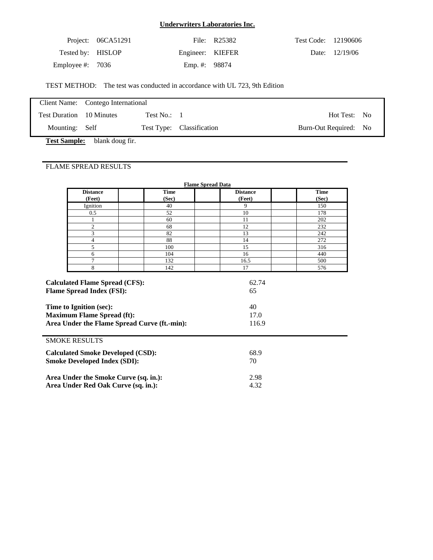|                    | Project: $06CA51291$ |                  | File: R25382 | Test Code: 12190606 |                  |
|--------------------|----------------------|------------------|--------------|---------------------|------------------|
| Tested by: HISLOP  |                      | Engineer: KIEFER |              |                     | Date: $12/19/06$ |
| Employee #: $7036$ |                      | Emp. #: 98874    |              |                     |                  |

TEST METHOD: The test was conducted in accordance with UL 723, 9th Edition

|                          | Client Name: Contego International |                     |                           |                       |  |
|--------------------------|------------------------------------|---------------------|---------------------------|-----------------------|--|
| Test Duration 10 Minutes |                                    | Test No.: $\quad$ 1 |                           | Hot Test: No          |  |
| Mounting: Self           |                                    |                     | Test Type: Classification | Burn-Out Required: No |  |

**Test Sample:** blank doug fir.

### FLAME SPREAD RESULTS

| <b>Flame Spread Data</b>                                                                                                                         |                      |                           |                      |  |  |  |
|--------------------------------------------------------------------------------------------------------------------------------------------------|----------------------|---------------------------|----------------------|--|--|--|
| <b>Distance</b><br>(Feet)                                                                                                                        | <b>Time</b><br>(Sec) | <b>Distance</b><br>(Feet) | <b>Time</b><br>(Sec) |  |  |  |
| Ignition                                                                                                                                         | 40                   | 9                         | 150                  |  |  |  |
| 0.5                                                                                                                                              | 52                   | 10                        | 178                  |  |  |  |
|                                                                                                                                                  | 60                   | 11                        | 202                  |  |  |  |
| $\overline{c}$                                                                                                                                   | 68                   | 12                        | 232                  |  |  |  |
| 3                                                                                                                                                | 82                   | 13                        | 242                  |  |  |  |
| 4                                                                                                                                                | 88                   | 14                        | 272                  |  |  |  |
| 5                                                                                                                                                | 100                  | 15                        | 316                  |  |  |  |
| 6                                                                                                                                                | 104                  | 16                        | 440                  |  |  |  |
| 7                                                                                                                                                | 132                  | 16.5                      | 500                  |  |  |  |
| 8                                                                                                                                                | 142                  | 17                        | 576                  |  |  |  |
| <b>Flame Spread Index (FSI):</b><br>Time to Ignition (sec):<br><b>Maximum Flame Spread (ft):</b><br>Area Under the Flame Spread Curve (ft.-min): |                      | 65<br>40<br>17.0<br>116.9 |                      |  |  |  |
| <b>SMOKE RESULTS</b>                                                                                                                             |                      |                           |                      |  |  |  |
| <b>Calculated Smoke Developed (CSD):</b>                                                                                                         |                      | 68.9                      |                      |  |  |  |
| <b>Smoke Developed Index (SDI):</b>                                                                                                              |                      | 70                        |                      |  |  |  |
| Area Under the Smoke Curve (sq. in.):                                                                                                            |                      | 2.98                      |                      |  |  |  |
| Area Under Red Oak Curve (sq. in.):                                                                                                              |                      | 4.32                      |                      |  |  |  |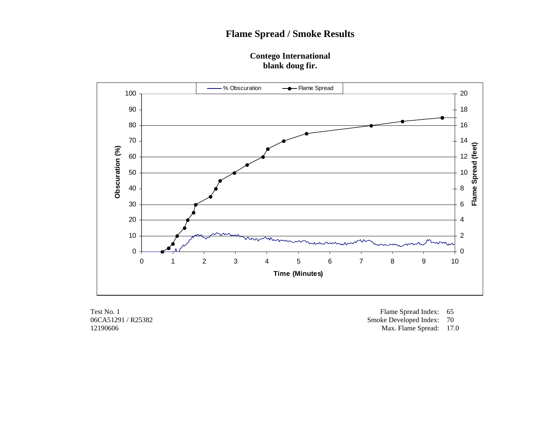### **Contego International blank doug fir.**



12190606 Max. Flame Spread: 17.0

Test No. 1 Flame Spread Index: 65<br>06CA51291 / R25382 Smoke Developed Index: 70 Smoke Developed Index: 70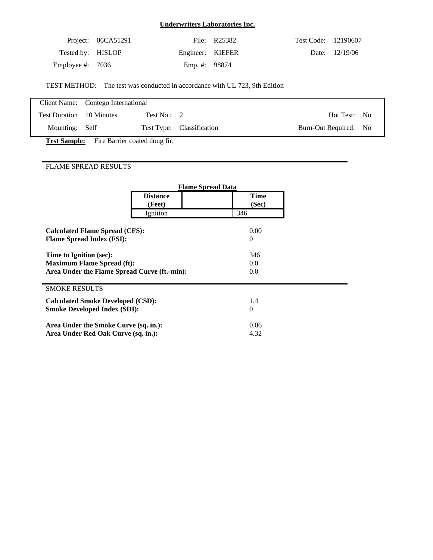|                    | Project: 06CA51291 |                  | File: R25382 | Test Code: 12190607 |                |
|--------------------|--------------------|------------------|--------------|---------------------|----------------|
| Tested by: HISLOP  |                    | Engineer: KIEFER |              |                     | Date: 12/19/06 |
| Employee #: $7036$ |                    | Emp. #: 98874    |              |                     |                |

TEST METHOD: The test was conducted in accordance with UL 723, 9th Edition

|                          | Client Name: Contego International |                           |                       |  |  |
|--------------------------|------------------------------------|---------------------------|-----------------------|--|--|
| Test Duration 10 Minutes | Test No.: $2$                      |                           | Hot Test: No          |  |  |
| Mounting: Self           |                                    | Test Type: Classification | Burn-Out Required: No |  |  |

Test Sample: Fire Barrier coated doug fir.

## FLAME SPREAD RESULTS

|                                              | <b>Flame Spread Data</b>  |                      |
|----------------------------------------------|---------------------------|----------------------|
|                                              | <b>Distance</b><br>(Feet) | <b>Time</b><br>(Sec) |
|                                              | Ignition                  | 346                  |
| <b>Calculated Flame Spread (CFS):</b>        |                           | 0.00                 |
| <b>Flame Spread Index (FSI):</b>             |                           | $\theta$             |
| Time to Ignition (sec):                      |                           | 346                  |
| <b>Maximum Flame Spread (ft):</b>            |                           | 0.0                  |
| Area Under the Flame Spread Curve (ft.-min): |                           | 0.0                  |
| <b>SMOKE RESULTS</b>                         |                           |                      |
| <b>Calculated Smoke Developed (CSD):</b>     |                           | 1.4                  |
| <b>Smoke Developed Index (SDI):</b>          |                           | $\theta$             |
| Area Under the Smoke Curve (sq. in.):        |                           | 0.06                 |
| Area Under Red Oak Curve (sq. in.):          |                           | 4.32                 |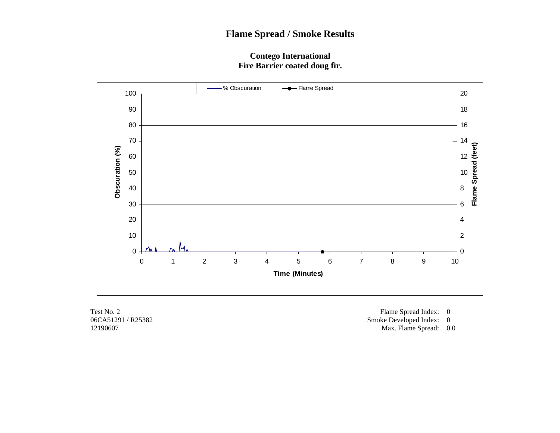### **Contego International Fire Barrier coated doug fir.**



Test No. 2 Flame Spread Index: 0<br>06CA51291 / R25382 Smoke Developed Index: 0 Smoke Developed Index: 0

12190607 Max. Flame Spread: 0.0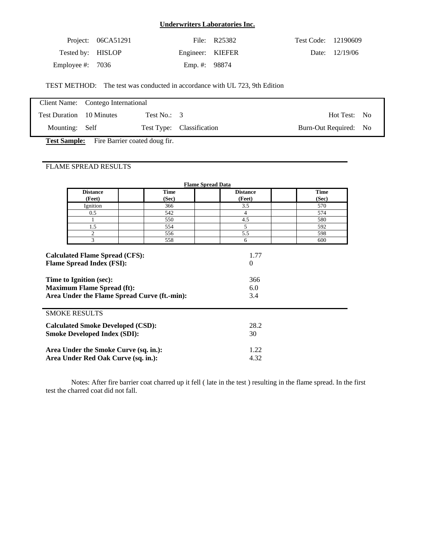|                    | Project: $06CA51291$ |                  | File: R25382 | Test Code: 12190609 |                  |
|--------------------|----------------------|------------------|--------------|---------------------|------------------|
| Tested by: HISLOP  |                      | Engineer: KIEFER |              |                     | Date: $12/19/06$ |
| Employee #: $7036$ |                      | Emp. #: 98874    |              |                     |                  |

TEST METHOD: The test was conducted in accordance with UL 723, 9th Edition

|                                 | Client Name: Contego International |                  |                           |                       |  |
|---------------------------------|------------------------------------|------------------|---------------------------|-----------------------|--|
| <b>Test Duration</b> 10 Minutes |                                    | Test No.: $\,$ 3 |                           | Hot Test: No          |  |
| Mounting: Self                  |                                    |                  | Test Type: Classification | Burn-Out Required: No |  |

**Test Sample:** Fire Barrier coated doug fir.

### FLAME SPREAD RESULTS

|                                                                                                                                                                                           | <b>Flame Spread Data</b>  |                      |                               |                      |  |  |  |  |
|-------------------------------------------------------------------------------------------------------------------------------------------------------------------------------------------|---------------------------|----------------------|-------------------------------|----------------------|--|--|--|--|
|                                                                                                                                                                                           | <b>Distance</b><br>(Feet) | <b>Time</b><br>(Sec) | <b>Distance</b><br>(Feet)     | <b>Time</b><br>(Sec) |  |  |  |  |
|                                                                                                                                                                                           | Ignition                  | 366                  | 3.5                           | 570                  |  |  |  |  |
|                                                                                                                                                                                           | 0.5                       | 542                  | 4                             | 574                  |  |  |  |  |
|                                                                                                                                                                                           | 1                         | 550                  | 4.5                           | 580                  |  |  |  |  |
|                                                                                                                                                                                           | 1.5                       | 554                  | 5.                            | 592                  |  |  |  |  |
|                                                                                                                                                                                           | 2                         | 556                  | 5.5                           | 598                  |  |  |  |  |
|                                                                                                                                                                                           | 3                         | 558                  | 6                             | 600                  |  |  |  |  |
| <b>Calculated Flame Spread (CFS):</b><br><b>Flame Spread Index (FSI):</b><br>Time to Ignition (sec):<br><b>Maximum Flame Spread (ft):</b><br>Area Under the Flame Spread Curve (ft.-min): |                           |                      | $\theta$<br>366<br>6.0<br>3.4 |                      |  |  |  |  |
|                                                                                                                                                                                           | <b>SMOKE RESULTS</b>      |                      |                               |                      |  |  |  |  |
| <b>Calculated Smoke Developed (CSD):</b><br><b>Smoke Developed Index (SDI):</b>                                                                                                           |                           |                      | 28.2<br>30                    |                      |  |  |  |  |
| Area Under the Smoke Curve (sq. in.):<br>Area Under Red Oak Curve (sq. in.):                                                                                                              |                           |                      | 1.22<br>4.32                  |                      |  |  |  |  |

 Notes: After fire barrier coat charred up it fell ( late in the test ) resulting in the flame spread. In the first test the charred coat did not fall.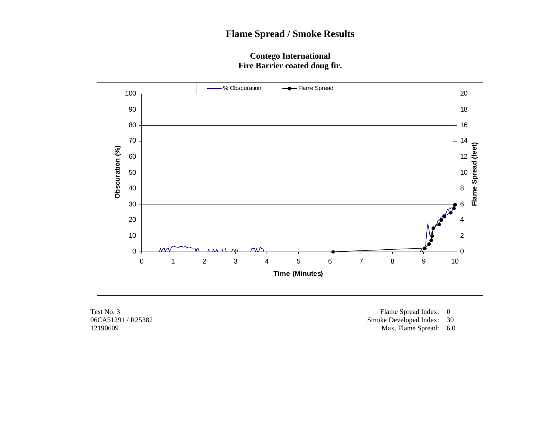### **Contego International Fire Barrier coated doug fir.**



Test No. 3 Flame Spread Index: 0<br>06CA51291 / R25382 Smoke Developed Index: 0 Smoke Developed Index: 30

12190609 Max. Flame Spread: 6.0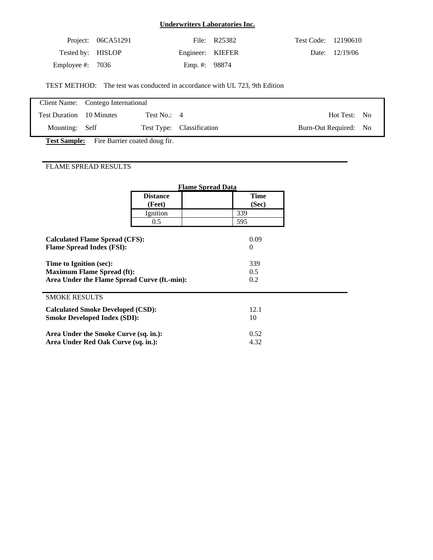|                    | Project: $06CA51291$ |                  | File: R25382 | Test Code: 12190610 |                |
|--------------------|----------------------|------------------|--------------|---------------------|----------------|
| Tested by: HISLOP  |                      | Engineer: KIEFER |              |                     | Date: 12/19/06 |
| Employee #: $7036$ |                      | Emp. #: 98874    |              |                     |                |

TEST METHOD: The test was conducted in accordance with UL 723, 9th Edition

|                                 | Client Name: Contego International |                           |                       |  |  |
|---------------------------------|------------------------------------|---------------------------|-----------------------|--|--|
| <b>Test Duration</b> 10 Minutes | Test No.: $4$                      |                           | Hot Test: No          |  |  |
| Mounting: Self                  |                                    | Test Type: Classification | Burn-Out Required: No |  |  |

Test Sample: Fire Barrier coated doug fir.

## FLAME SPREAD RESULTS

|                                              | <b>Flame Spread Data</b> |          |  |
|----------------------------------------------|--------------------------|----------|--|
|                                              | <b>Distance</b>          | Time     |  |
|                                              | (Feet)                   | (Sec)    |  |
|                                              | Ignition                 | 339      |  |
|                                              | 0.5                      | 595      |  |
|                                              |                          |          |  |
| <b>Calculated Flame Spread (CFS):</b>        |                          | 0.09     |  |
| <b>Flame Spread Index (FSI):</b>             |                          | $\theta$ |  |
| Time to Ignition (sec):                      |                          | 339      |  |
| <b>Maximum Flame Spread (ft):</b>            |                          | 0.5      |  |
| Area Under the Flame Spread Curve (ft.-min): |                          | 0.2      |  |
|                                              |                          |          |  |
| <b>SMOKE RESULTS</b>                         |                          |          |  |
| <b>Calculated Smoke Developed (CSD):</b>     |                          | 12.1     |  |
| <b>Smoke Developed Index (SDI):</b>          |                          | 10       |  |
| Area Under the Smoke Curve (sq. in.):        |                          | 0.52     |  |
|                                              |                          |          |  |
| Area Under Red Oak Curve (sq. in.):          |                          | 4.32     |  |